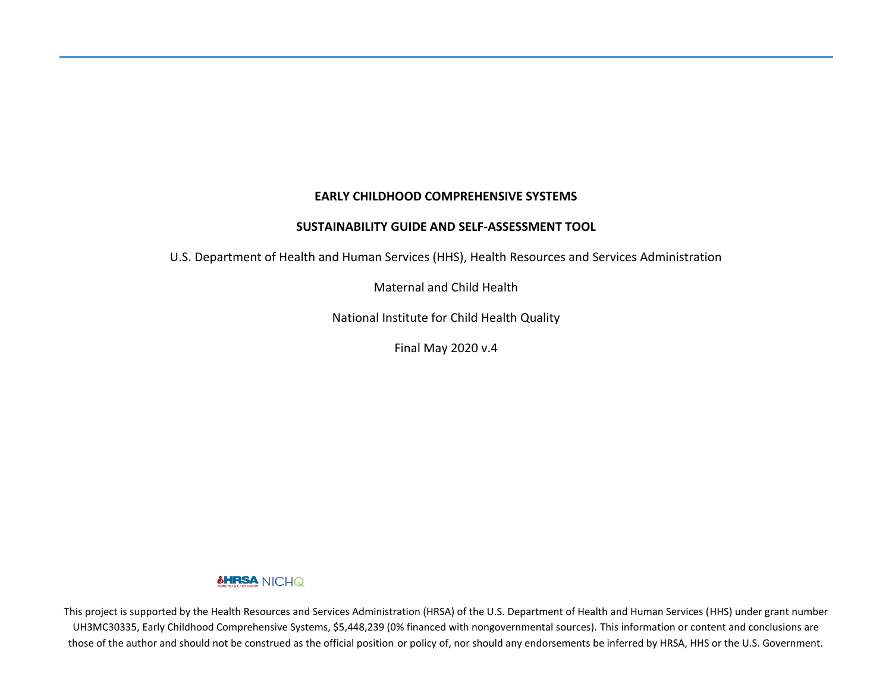#### **EARLY CHILDHOOD COMPREHENSIVE SYSTEMS**

#### **SUSTAINABILITY GUIDE AND SELF-ASSESSMENT TOOL**

U.S. Department of Health and Human Services (HHS), Health Resources and Services Administration

Maternal and Child Health

National Institute for Child Health Quality

Final May 2020 v.4

#### **&HRSA** NICHQ

This project is supported by the Health Resources and Services Administration (HRSA) of the U.S. Department of Health and Human Services (HHS) under grant number UH3MC30335, Early Childhood Comprehensive Systems, \$5,448,239 (0% financed with nongovernmental sources). This information or content and conclusions are those of the author and should not be construed as the official position or policy of, nor should any endorsements be inferred by HRSA, HHS or the U.S. Government.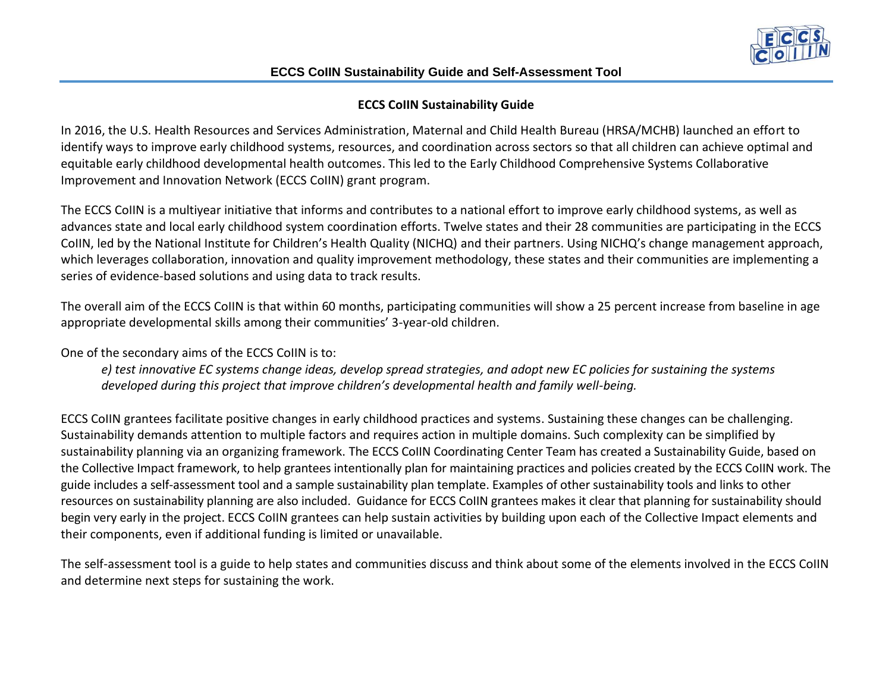

## **ECCS CoIIN Sustainability Guide**

In 2016, the U.S. Health Resources and Services Administration, Maternal and Child Health Bureau (HRSA/MCHB) launched an effort to identify ways to improve early childhood systems, resources, and coordination across sectors so that all children can achieve optimal and equitable early childhood developmental health outcomes. This led to the Early Childhood Comprehensive Systems Collaborative Improvement and Innovation Network (ECCS CoIIN) grant program.

The ECCS CoIIN is a multiyear initiative that informs and contributes to a national effort to improve early childhood systems, as well as advances state and local early childhood system coordination efforts. Twelve states and their 28 communities are participating in the ECCS CoIIN, led by the National Institute for Children's Health Quality (NICHQ) and their partners. Using NICHQ's change management approach, which leverages collaboration, innovation and quality improvement methodology, these states and their communities are implementing a series of evidence-based solutions and using data to track results.

The overall aim of the ECCS CoIIN is that within 60 months, participating communities will show a 25 percent increase from baseline in age appropriate developmental skills among their communities' 3-year-old children.

One of the secondary aims of the ECCS CoIIN is to:

*e) test innovative EC systems change ideas, develop spread strategies, and adopt new EC policies for sustaining the systems developed during this project that improve children's developmental health and family well-being.*

ECCS CoIIN grantees facilitate positive changes in early childhood practices and systems. Sustaining these changes can be challenging. Sustainability demands attention to multiple factors and requires action in multiple domains. Such complexity can be simplified by sustainability planning via an organizing framework. The ECCS CoIIN Coordinating Center Team has created a Sustainability Guide, based on the Collective Impact framework, to help grantees intentionally plan for maintaining practices and policies created by the ECCS CoIIN work. The guide includes a self-assessment tool and a sample sustainability plan template. Examples of other sustainability tools and links to other resources on sustainability planning are also included. Guidance for ECCS CoIIN grantees makes it clear that planning for sustainability should begin very early in the project. ECCS CoIIN grantees can help sustain activities by building upon each of the Collective Impact elements and their components, even if additional funding is limited or unavailable.

The self-assessment tool is a guide to help states and communities discuss and think about some of the elements involved in the ECCS CoIIN and determine next steps for sustaining the work.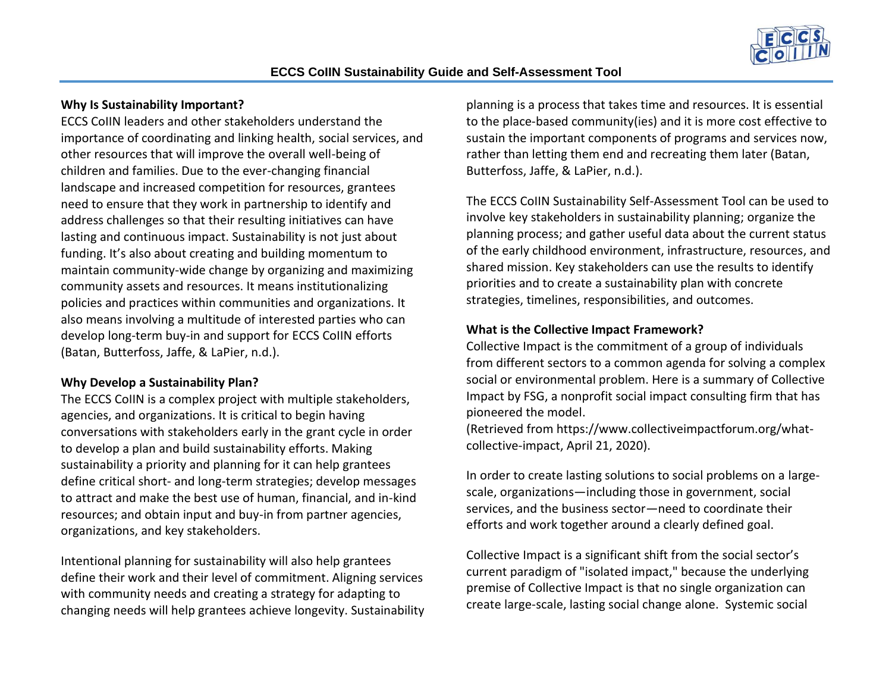

# **Why Is Sustainability Important?**

ECCS CoIIN leaders and other stakeholders understand the importance of coordinating and linking health, social services, and other resources that will improve the overall well-being of children and families. Due to the ever-changing financial landscape and increased competition for resources, grantees need to ensure that they work in partnership to identify and address challenges so that their resulting initiatives can have lasting and continuous impact. Sustainability is not just about funding. It's also about creating and building momentum to maintain community-wide change by organizing and maximizing community assets and resources. It means institutionalizing policies and practices within communities and organizations. It also means involving a multitude of interested parties who can develop long-term buy-in and support for ECCS CoIIN efforts (Batan, Butterfoss, Jaffe, & LaPier, n.d.).

## **Why Develop a Sustainability Plan?**

The ECCS CoIIN is a complex project with multiple stakeholders, agencies, and organizations. It is critical to begin having conversations with stakeholders early in the grant cycle in order to develop a plan and build sustainability efforts. Making sustainability a priority and planning for it can help grantees define critical short- and long-term strategies; develop messages to attract and make the best use of human, financial, and in-kind resources; and obtain input and buy-in from partner agencies, organizations, and key stakeholders.

Intentional planning for sustainability will also help grantees define their work and their level of commitment. Aligning services with community needs and creating a strategy for adapting to changing needs will help grantees achieve longevity. Sustainability planning is a process that takes time and resources. It is essential to the place-based community(ies) and it is more cost effective to sustain the important components of programs and services now, rather than letting them end and recreating them later (Batan, Butterfoss, Jaffe, & LaPier, n.d.).

The ECCS CoIIN Sustainability Self-Assessment Tool can be used to involve key stakeholders in sustainability planning; organize the planning process; and gather useful data about the current status of the early childhood environment, infrastructure, resources, and shared mission. Key stakeholders can use the results to identify priorities and to create a sustainability plan with concrete strategies, timelines, responsibilities, and outcomes.

## **What is the Collective Impact Framework?**

Collective Impact is the commitment of a group of individuals from different sectors to a common agenda for solving a complex social or environmental problem. Here is a summary of Collective Impact by FSG, a nonprofit social impact consulting firm that has pioneered the model.

(Retrieved from [https://www.collectiveimpactforum.org/what](https://www.collectiveimpactforum.org/what-collective-impact)[collective-impact,](https://www.collectiveimpactforum.org/what-collective-impact) April 21, 2020).

In order to create lasting solutions to social problems on a largescale, organizations—including those in government, social services, and the business sector—need to coordinate their efforts and work together around a clearly defined goal.

Collective Impact is a significant shift from the social sector's current paradigm of "isolated impact," because the underlying premise of Collective Impact is that no single organization can create large-scale, lasting social change alone. Systemic social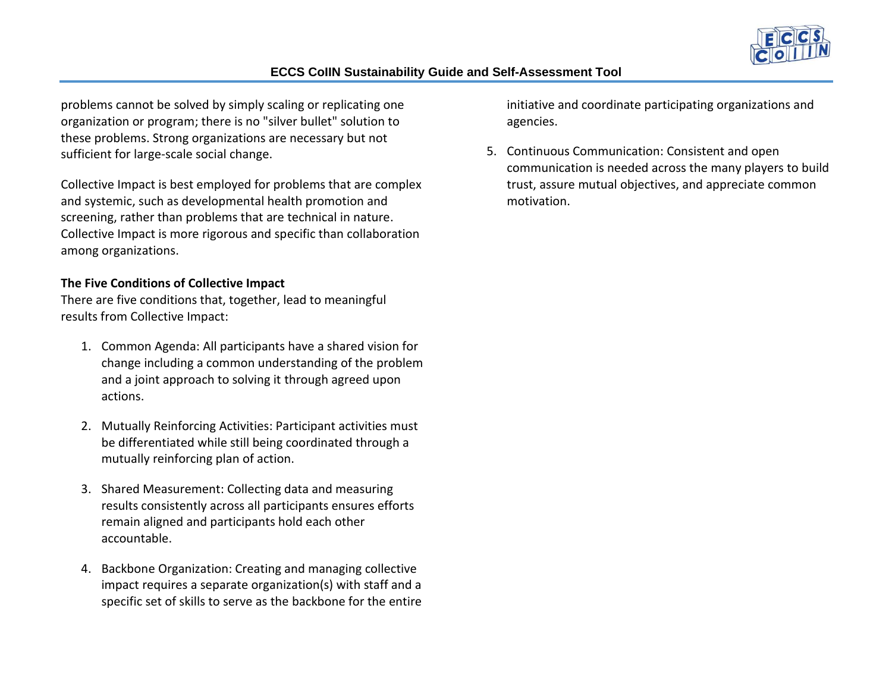

problems cannot be solved by simply scaling or replicating one organization or program; there is no "silver bullet" solution to these problems. Strong organizations are necessary but not sufficient for large-scale social change.

Collective Impact is best employed for problems that are complex and systemic, such as developmental health promotion and screening, rather than problems that are technical in nature. Collective Impact is more rigorous and specific than collaboration among organizations.

## **The Five Conditions of Collective Impact**

There are five conditions that, together, lead to meaningful results from Collective Impact:

- 1. Common Agenda: All participants have a shared vision for change including a common understanding of the problem and a joint approach to solving it through agreed upon actions.
- 2. Mutually Reinforcing Activities: Participant activities must be differentiated while still being coordinated through a mutually reinforcing plan of action.
- 3. Shared Measurement: Collecting data and measuring results consistently across all participants ensures efforts remain aligned and participants hold each other accountable.
- 4. Backbone Organization: Creating and managing collective impact requires a separate organization(s) with staff and a specific set of skills to serve as the backbone for the entire

initiative and coordinate participating organizations and agencies.

5. Continuous Communication: Consistent and open communication is needed across the many players to build trust, assure mutual objectives, and appreciate common motivation.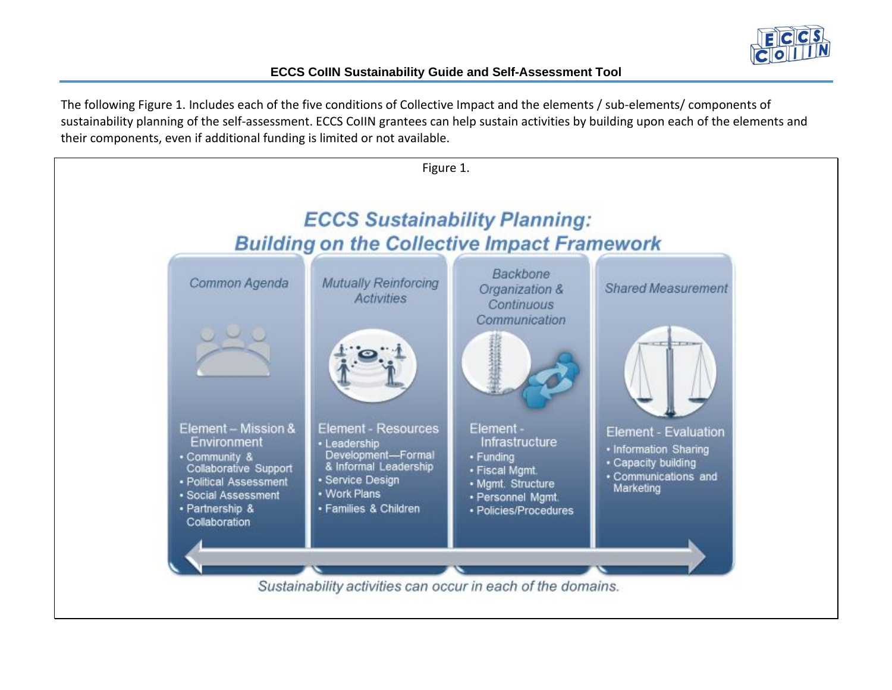

The following Figure 1. Includes each of the five conditions of Collective Impact and the elements / sub-elements/ components of sustainability planning of the self-assessment. ECCS CoIIN grantees can help sustain activities by building upon each of the elements and their components, even if additional funding is limited or not available.

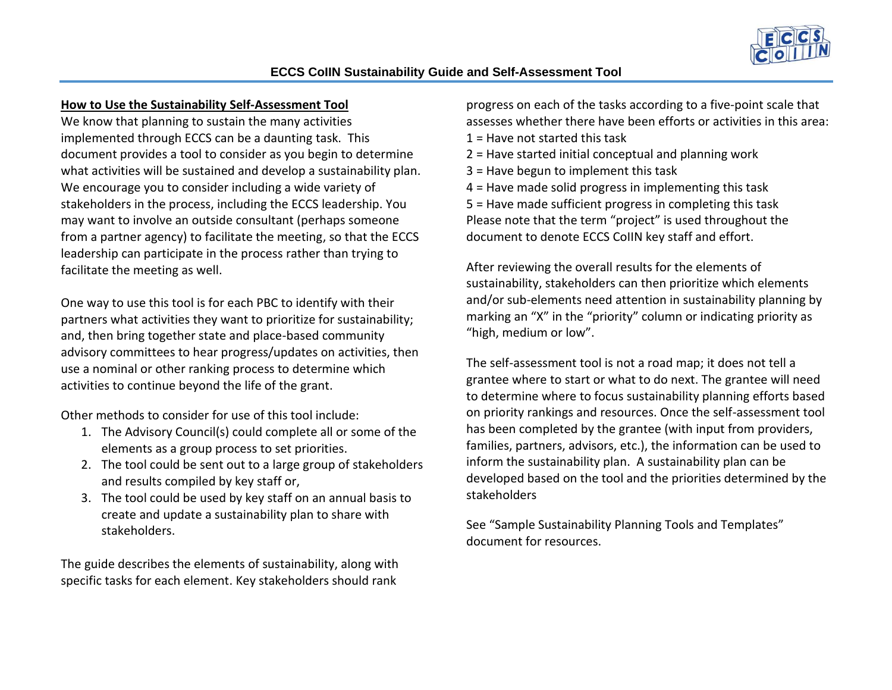

## **How to Use the Sustainability Self-Assessment Tool**

We know that planning to sustain the many activities implemented through ECCS can be a daunting task. This document provides a tool to consider as you begin to determine what activities will be sustained and develop a sustainability plan. We encourage you to consider including a wide variety of stakeholders in the process, including the ECCS leadership. You may want to involve an outside consultant (perhaps someone from a partner agency) to facilitate the meeting, so that the ECCS leadership can participate in the process rather than trying to facilitate the meeting as well.

One way to use this tool is for each PBC to identify with their partners what activities they want to prioritize for sustainability; and, then bring together state and place-based community advisory committees to hear progress/updates on activities, then use a nominal or other ranking process to determine which activities to continue beyond the life of the grant.

Other methods to consider for use of this tool include:

- 1. The Advisory Council(s) could complete all or some of the elements as a group process to set priorities.
- 2. The tool could be sent out to a large group of stakeholders and results compiled by key staff or,
- 3. The tool could be used by key staff on an annual basis to create and update a sustainability plan to share with stakeholders.

The guide describes the elements of sustainability, along with specific tasks for each element. Key stakeholders should rank

progress on each of the tasks according to a five-point scale that assesses whether there have been efforts or activities in this area:  $1 =$  Have not started this task

- 2 = Have started initial conceptual and planning work
- 3 = Have begun to implement this task

4 = Have made solid progress in implementing this task 5 = Have made sufficient progress in completing this task Please note that the term "project" is used throughout the document to denote ECCS CoIIN key staff and effort.

After reviewing the overall results for the elements of sustainability, stakeholders can then prioritize which elements and/or sub-elements need attention in sustainability planning by marking an "X" in the "priority" column or indicating priority as "high, medium or low".

The self-assessment tool is not a road map; it does not tell a grantee where to start or what to do next. The grantee will need to determine where to focus sustainability planning efforts based on priority rankings and resources. Once the self-assessment tool has been completed by the grantee (with input from providers, families, partners, advisors, etc.), the information can be used to inform the sustainability plan. A sustainability plan can be developed based on the tool and the priorities determined by the stakeholders

See "Sample Sustainability Planning Tools and Templates" document for resources.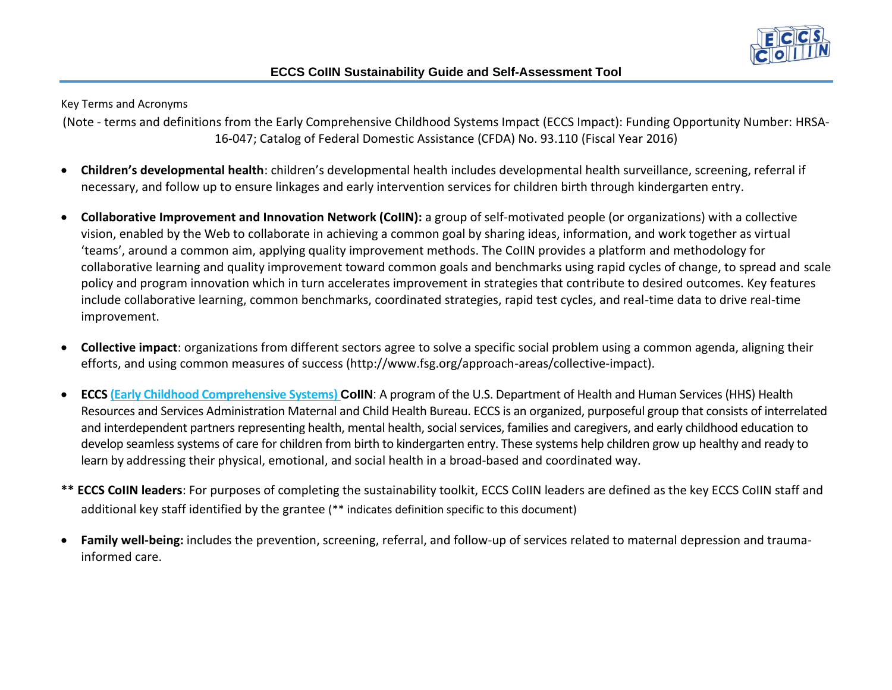

Key Terms and Acronyms

(Note - terms and definitions from the Early Comprehensive Childhood Systems Impact (ECCS Impact): Funding Opportunity Number: HRSA-16-047; Catalog of Federal Domestic Assistance (CFDA) No. 93.110 (Fiscal Year 2016)

- **Children's developmental health**: children's developmental health includes developmental health surveillance, screening, referral if necessary, and follow up to ensure linkages and early intervention services for children birth through kindergarten entry.
- **Collaborative Improvement and Innovation Network (CoIIN):** a group of self-motivated people (or organizations) with a collective vision, enabled by the Web to collaborate in achieving a common goal by sharing ideas, information, and work together as virtual 'teams', around a common aim, applying quality improvement methods. The CoIIN provides a platform and methodology for collaborative learning and quality improvement toward common goals and benchmarks using rapid cycles of change, to spread and scale policy and program innovation which in turn accelerates improvement in strategies that contribute to desired outcomes. Key features include collaborative learning, common benchmarks, coordinated strategies, rapid test cycles, and real-time data to drive real-time improvement.
- **Collective impact**: organizations from different sectors agree to solve a specific social problem using a common agenda, aligning their efforts, and using common measures of success (http://www.fsg.org/approach-areas/collective-impact).
- **ECCS [\(Early Childhood Comprehensive Systems\)](https://mchb.hrsa.gov/earlychildhoodcomprehensivesystems) CoIIN**: A program of the U.S. Department of Health and Human Services (HHS) Health Resources and Services Administration Maternal and Child Health Bureau. ECCS is an organized, purposeful group that consists of interrelated and interdependent partners representing health, mental health, social services, families and caregivers, and early childhood education to develop seamless systems of care for children from birth to kindergarten entry. These systems help children grow up healthy and ready to learn by addressing their physical, emotional, and social health in a broad-based and coordinated way.
- **\*\* ECCS CoIIN leaders**: For purposes of completing the sustainability toolkit, ECCS CoIIN leaders are defined as the key ECCS CoIIN staff and additional key staff identified by the grantee (\*\* indicates definition specific to this document)
- **Family well-being:** includes the prevention, screening, referral, and follow-up of services related to maternal depression and traumainformed care.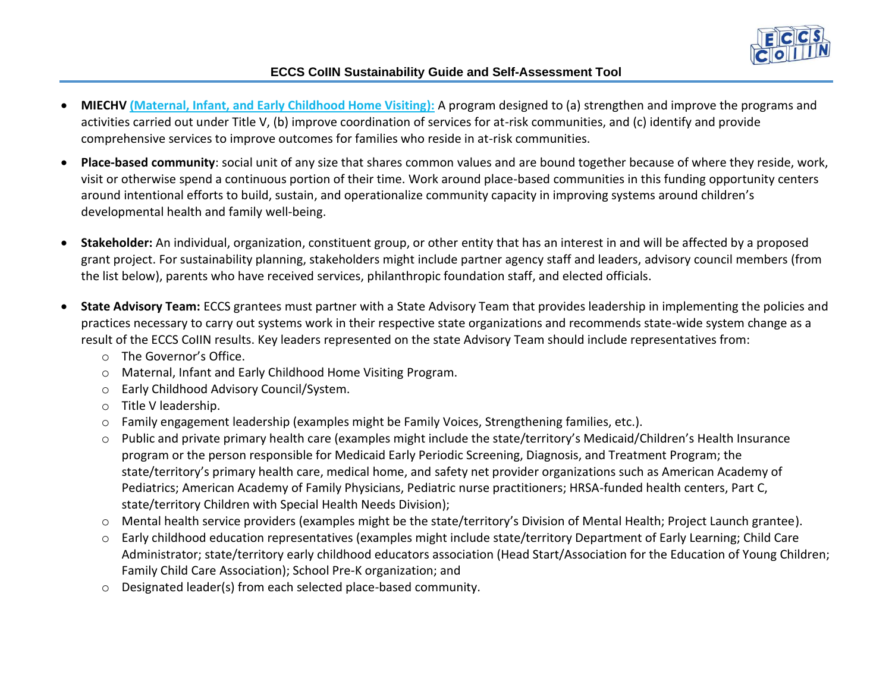

- **MIECHV ([Maternal, Infant, and Early Childhood Home Visiting\)](http://mchb.hrsa.gov/programs/homevisiting/):** A program designed to (a) strengthen and improve the programs and activities carried out under Title V, (b) improve coordination of services for at-risk communities, and (c) identify and provide comprehensive services to improve outcomes for families who reside in at-risk communities.
- **Place-based community**: social unit of any size that shares common values and are bound together because of where they reside, work, visit or otherwise spend a continuous portion of their time. Work around place-based communities in this funding opportunity centers around intentional efforts to build, sustain, and operationalize community capacity in improving systems around children's developmental health and family well-being.
- **Stakeholder:** An individual, organization, constituent group, or other entity that has an interest in and will be affected by a proposed grant project. For sustainability planning, stakeholders might include partner agency staff and leaders, advisory council members (from the list below), parents who have received services, philanthropic foundation staff, and elected officials.
- **State Advisory Team:** ECCS grantees must partner with a State Advisory Team that provides leadership in implementing the policies and practices necessary to carry out systems work in their respective state organizations and recommends state-wide system change as a result of the ECCS CoIIN results. Key leaders represented on the state Advisory Team should include representatives from:
	- o The Governor's Office.
	- o Maternal, Infant and Early Childhood Home Visiting Program.
	- o Early Childhood Advisory Council/System.
	- o Title V leadership.
	- o Family engagement leadership (examples might be Family Voices, Strengthening families, etc.).
	- o Public and private primary health care (examples might include the state/territory's Medicaid/Children's Health Insurance program or the person responsible for Medicaid Early Periodic Screening, Diagnosis, and Treatment Program; the state/territory's primary health care, medical home, and safety net provider organizations such as American Academy of Pediatrics; American Academy of Family Physicians, Pediatric nurse practitioners; HRSA-funded health centers, Part C, state/territory Children with Special Health Needs Division);
	- o Mental health service providers (examples might be the state/territory's Division of Mental Health; Project Launch grantee).
	- o Early childhood education representatives (examples might include state/territory Department of Early Learning; Child Care Administrator; state/territory early childhood educators association (Head Start/Association for the Education of Young Children; Family Child Care Association); School Pre-K organization; and
	- o Designated leader(s) from each selected place-based community.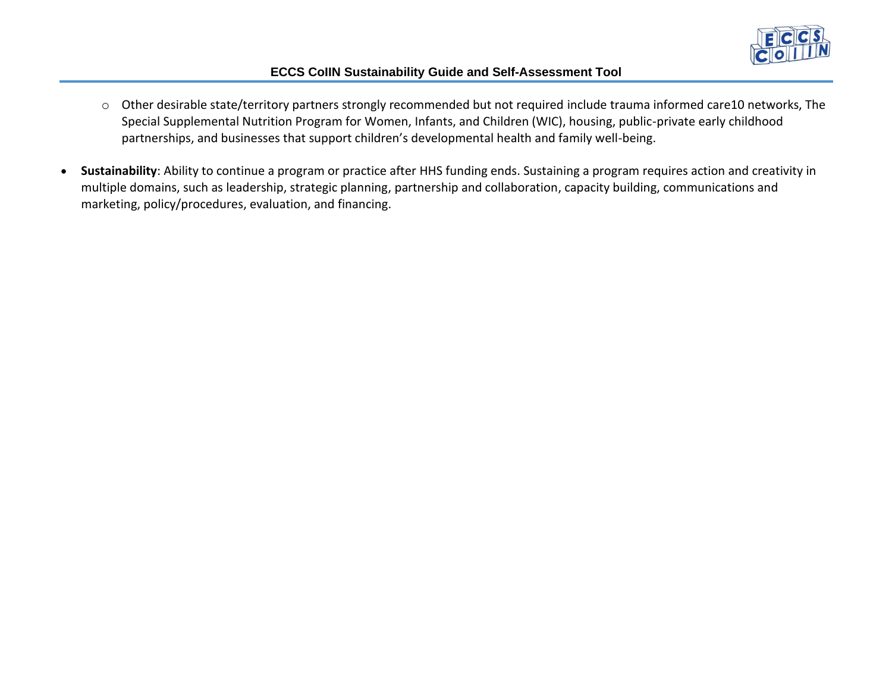

- o Other desirable state/territory partners strongly recommended but not required include trauma informed care10 networks, The Special Supplemental Nutrition Program for Women, Infants, and Children (WIC), housing, public-private early childhood partnerships, and businesses that support children's developmental health and family well-being.
- **Sustainability**: Ability to continue a program or practice after HHS funding ends. Sustaining a program requires action and creativity in multiple domains, such as leadership, strategic planning, partnership and collaboration, capacity building, communications and marketing, policy/procedures, evaluation, and financing.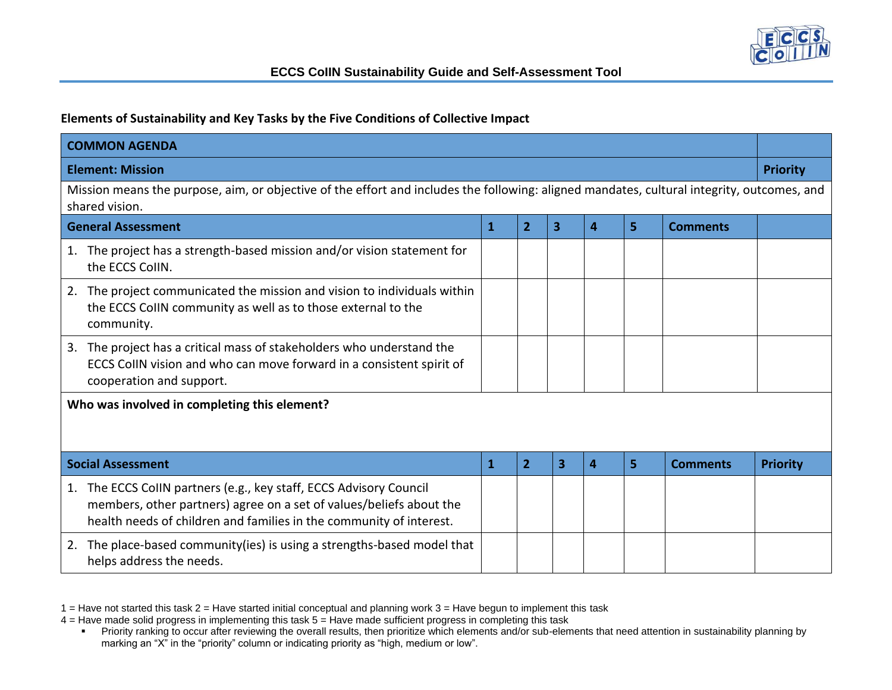

## **Elements of Sustainability and Key Tasks by the Five Conditions of Collective Impact**

| <b>COMMON AGENDA</b>                                                                                                                                                                                                |              |                |   |                  |   |                 |                 |  |  |  |
|---------------------------------------------------------------------------------------------------------------------------------------------------------------------------------------------------------------------|--------------|----------------|---|------------------|---|-----------------|-----------------|--|--|--|
| <b>Element: Mission</b>                                                                                                                                                                                             |              |                |   |                  |   |                 | <b>Priority</b> |  |  |  |
| Mission means the purpose, aim, or objective of the effort and includes the following: aligned mandates, cultural integrity, outcomes, and<br>shared vision.                                                        |              |                |   |                  |   |                 |                 |  |  |  |
| <b>General Assessment</b>                                                                                                                                                                                           | $\mathbf{1}$ | 2              | 3 | 4                | 5 | <b>Comments</b> |                 |  |  |  |
| The project has a strength-based mission and/or vision statement for<br>1.<br>the ECCS CollN.                                                                                                                       |              |                |   |                  |   |                 |                 |  |  |  |
| The project communicated the mission and vision to individuals within<br>2.<br>the ECCS CollN community as well as to those external to the<br>community.                                                           |              |                |   |                  |   |                 |                 |  |  |  |
| The project has a critical mass of stakeholders who understand the<br>3.<br>ECCS CollN vision and who can move forward in a consistent spirit of<br>cooperation and support.                                        |              |                |   |                  |   |                 |                 |  |  |  |
| Who was involved in completing this element?<br><b>Social Assessment</b>                                                                                                                                            | 1            | $\overline{2}$ | 3 | $\boldsymbol{A}$ | 5 | <b>Comments</b> | <b>Priority</b> |  |  |  |
| The ECCS CollN partners (e.g., key staff, ECCS Advisory Council<br>1.<br>members, other partners) agree on a set of values/beliefs about the<br>health needs of children and families in the community of interest. |              |                |   |                  |   |                 |                 |  |  |  |
| The place-based community (ies) is using a strengths-based model that<br>2.<br>helps address the needs.                                                                                                             |              |                |   |                  |   |                 |                 |  |  |  |

 $1$  = Have not started this task  $2$  = Have started initial conceptual and planning work  $3$  = Have begun to implement this task

<sup>4 =</sup> Have made solid progress in implementing this task 5 = Have made sufficient progress in completing this task

<sup>■</sup> Priority ranking to occur after reviewing the overall results, then prioritize which elements and/or sub-elements that need attention in sustainability planning by marking an "X" in the "priority" column or indicating priority as "high, medium or low".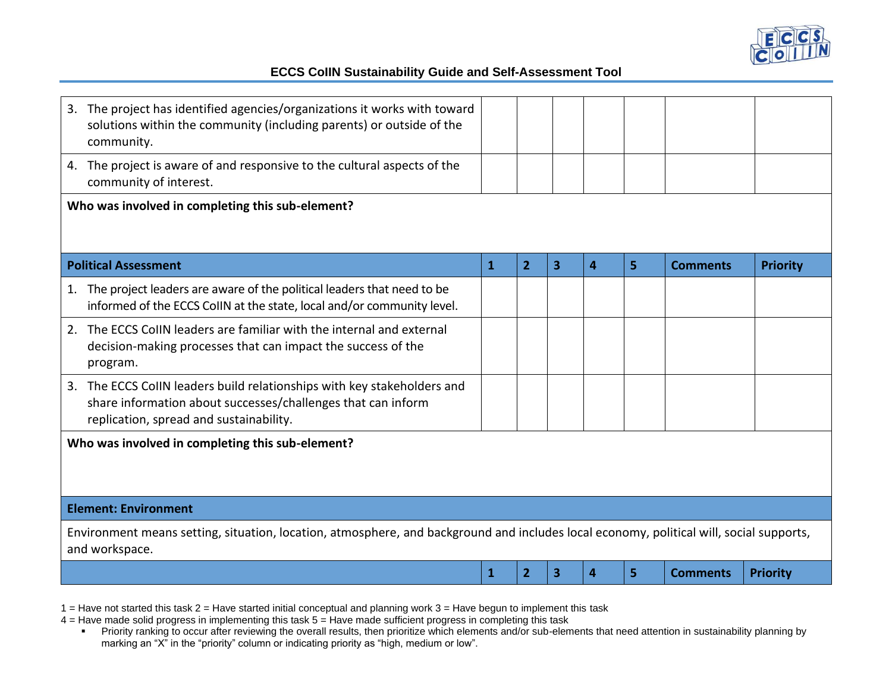

| The project has identified agencies/organizations it works with toward<br>3.<br>solutions within the community (including parents) or outside of the<br>community.                 |              |                |   |   |   |                 |                 |
|------------------------------------------------------------------------------------------------------------------------------------------------------------------------------------|--------------|----------------|---|---|---|-----------------|-----------------|
| 4. The project is aware of and responsive to the cultural aspects of the<br>community of interest.                                                                                 |              |                |   |   |   |                 |                 |
| Who was involved in completing this sub-element?                                                                                                                                   |              |                |   |   |   |                 |                 |
| <b>Political Assessment</b>                                                                                                                                                        | $\mathbf{1}$ | $\overline{2}$ | 3 | 4 | 5 | <b>Comments</b> | <b>Priority</b> |
| The project leaders are aware of the political leaders that need to be<br>1.<br>informed of the ECCS CollN at the state, local and/or community level.                             |              |                |   |   |   |                 |                 |
| The ECCS CollN leaders are familiar with the internal and external<br>2.<br>decision-making processes that can impact the success of the<br>program.                               |              |                |   |   |   |                 |                 |
| 3. The ECCS CollN leaders build relationships with key stakeholders and<br>share information about successes/challenges that can inform<br>replication, spread and sustainability. |              |                |   |   |   |                 |                 |
| Who was involved in completing this sub-element?                                                                                                                                   |              |                |   |   |   |                 |                 |
| <b>Element: Environment</b>                                                                                                                                                        |              |                |   |   |   |                 |                 |
| Environment means setting, situation, location, atmosphere, and background and includes local economy, political will, social supports,<br>and workspace.                          |              |                |   |   |   |                 |                 |
|                                                                                                                                                                                    | $\mathbf{1}$ | $\overline{2}$ | 3 | 4 | 5 | <b>Comments</b> | <b>Priority</b> |

1 = Have not started this task 2 = Have started initial conceptual and planning work 3 = Have begun to implement this task

4 = Have made solid progress in implementing this task 5 = Have made sufficient progress in completing this task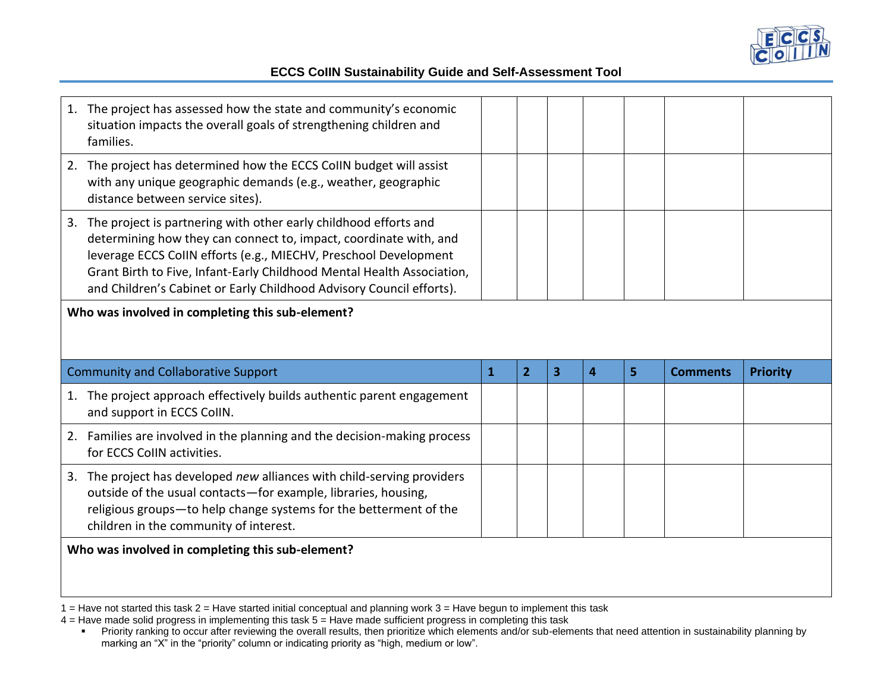

| 1. The project has assessed how the state and community's economic<br>situation impacts the overall goals of strengthening children and<br>families.                                                                                                                                                                                                           |              |                |   |                  |   |                 |                 |
|----------------------------------------------------------------------------------------------------------------------------------------------------------------------------------------------------------------------------------------------------------------------------------------------------------------------------------------------------------------|--------------|----------------|---|------------------|---|-----------------|-----------------|
| 2. The project has determined how the ECCS CoIIN budget will assist<br>with any unique geographic demands (e.g., weather, geographic<br>distance between service sites).                                                                                                                                                                                       |              |                |   |                  |   |                 |                 |
| 3. The project is partnering with other early childhood efforts and<br>determining how they can connect to, impact, coordinate with, and<br>leverage ECCS CollN efforts (e.g., MIECHV, Preschool Development<br>Grant Birth to Five, Infant-Early Childhood Mental Health Association,<br>and Children's Cabinet or Early Childhood Advisory Council efforts). |              |                |   |                  |   |                 |                 |
| Who was involved in completing this sub-element?                                                                                                                                                                                                                                                                                                               |              |                |   |                  |   |                 |                 |
|                                                                                                                                                                                                                                                                                                                                                                |              |                |   |                  |   |                 |                 |
| <b>Community and Collaborative Support</b>                                                                                                                                                                                                                                                                                                                     | $\mathbf{1}$ | $\overline{2}$ | 3 | $\boldsymbol{A}$ | 5 | <b>Comments</b> | <b>Priority</b> |
| 1. The project approach effectively builds authentic parent engagement<br>and support in ECCS CollN.                                                                                                                                                                                                                                                           |              |                |   |                  |   |                 |                 |
| 2. Families are involved in the planning and the decision-making process<br>for ECCS CollN activities.                                                                                                                                                                                                                                                         |              |                |   |                  |   |                 |                 |
| 3. The project has developed new alliances with child-serving providers<br>outside of the usual contacts-for example, libraries, housing,<br>religious groups-to help change systems for the betterment of the<br>children in the community of interest.                                                                                                       |              |                |   |                  |   |                 |                 |

1 = Have not started this task 2 = Have started initial conceptual and planning work 3 = Have begun to implement this task

4 = Have made solid progress in implementing this task 5 = Have made sufficient progress in completing this task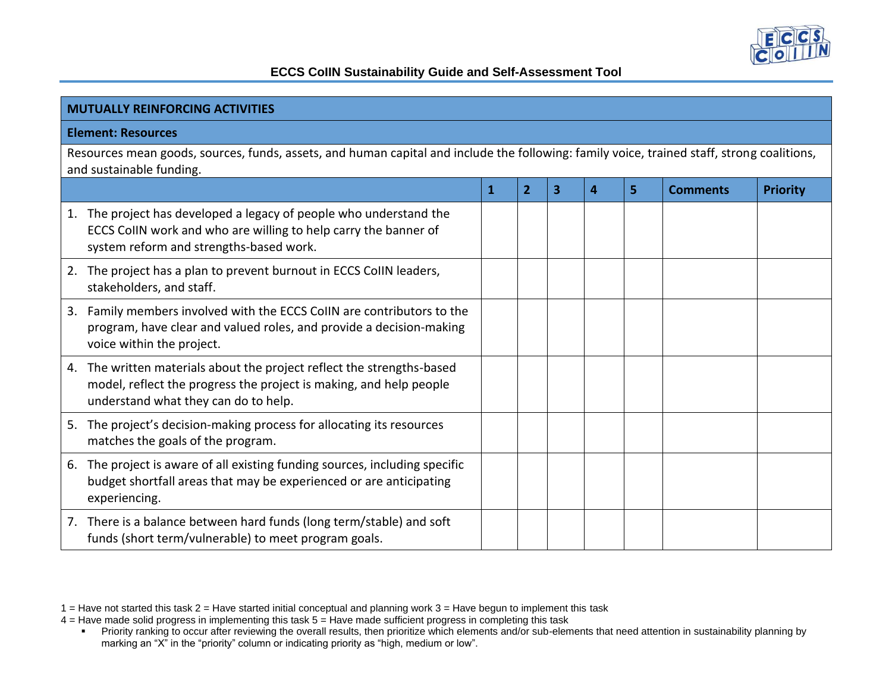

| <b>MUTUALLY REINFORCING ACTIVITIES</b>                                                                                                                                               |   |   |   |   |   |                 |                 |  |  |  |
|--------------------------------------------------------------------------------------------------------------------------------------------------------------------------------------|---|---|---|---|---|-----------------|-----------------|--|--|--|
| <b>Element: Resources</b>                                                                                                                                                            |   |   |   |   |   |                 |                 |  |  |  |
| Resources mean goods, sources, funds, assets, and human capital and include the following: family voice, trained staff, strong coalitions,<br>and sustainable funding.               |   |   |   |   |   |                 |                 |  |  |  |
|                                                                                                                                                                                      | 1 | 2 | 3 | 4 | 5 | <b>Comments</b> | <b>Priority</b> |  |  |  |
| The project has developed a legacy of people who understand the<br>1.<br>ECCS CollN work and who are willing to help carry the banner of<br>system reform and strengths-based work.  |   |   |   |   |   |                 |                 |  |  |  |
| The project has a plan to prevent burnout in ECCS CollN leaders,<br>2.<br>stakeholders, and staff.                                                                                   |   |   |   |   |   |                 |                 |  |  |  |
| Family members involved with the ECCS CollN are contributors to the<br>3.<br>program, have clear and valued roles, and provide a decision-making<br>voice within the project.        |   |   |   |   |   |                 |                 |  |  |  |
| 4. The written materials about the project reflect the strengths-based<br>model, reflect the progress the project is making, and help people<br>understand what they can do to help. |   |   |   |   |   |                 |                 |  |  |  |
| 5. The project's decision-making process for allocating its resources<br>matches the goals of the program.                                                                           |   |   |   |   |   |                 |                 |  |  |  |
| The project is aware of all existing funding sources, including specific<br>6.<br>budget shortfall areas that may be experienced or are anticipating<br>experiencing.                |   |   |   |   |   |                 |                 |  |  |  |
| 7. There is a balance between hard funds (long term/stable) and soft<br>funds (short term/vulnerable) to meet program goals.                                                         |   |   |   |   |   |                 |                 |  |  |  |

<sup>1 =</sup> Have not started this task 2 = Have started initial conceptual and planning work 3 = Have begun to implement this task

<sup>4 =</sup> Have made solid progress in implementing this task 5 = Have made sufficient progress in completing this task

<sup>■</sup> Priority ranking to occur after reviewing the overall results, then prioritize which elements and/or sub-elements that need attention in sustainability planning by marking an "X" in the "priority" column or indicating priority as "high, medium or low".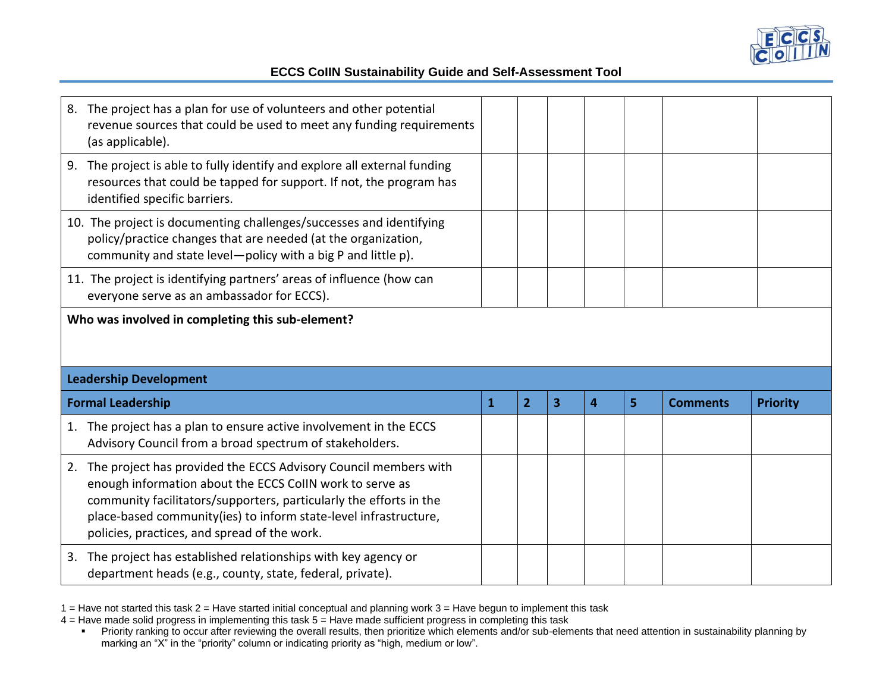

| 8. The project has a plan for use of volunteers and other potential<br>revenue sources that could be used to meet any funding requirements<br>(as applicable).                                                                                                                                                              |              |                |   |                         |   |                 |                 |
|-----------------------------------------------------------------------------------------------------------------------------------------------------------------------------------------------------------------------------------------------------------------------------------------------------------------------------|--------------|----------------|---|-------------------------|---|-----------------|-----------------|
| The project is able to fully identify and explore all external funding<br>9.<br>resources that could be tapped for support. If not, the program has<br>identified specific barriers.                                                                                                                                        |              |                |   |                         |   |                 |                 |
| 10. The project is documenting challenges/successes and identifying<br>policy/practice changes that are needed (at the organization,<br>community and state level-policy with a big P and little p).                                                                                                                        |              |                |   |                         |   |                 |                 |
| 11. The project is identifying partners' areas of influence (how can<br>everyone serve as an ambassador for ECCS).                                                                                                                                                                                                          |              |                |   |                         |   |                 |                 |
| Who was involved in completing this sub-element?                                                                                                                                                                                                                                                                            |              |                |   |                         |   |                 |                 |
|                                                                                                                                                                                                                                                                                                                             |              |                |   |                         |   |                 |                 |
| <b>Leadership Development</b><br><b>Formal Leadership</b>                                                                                                                                                                                                                                                                   | $\mathbf{1}$ | $\overline{2}$ | 3 | $\overline{\mathbf{4}}$ | 5 | <b>Comments</b> | <b>Priority</b> |
| The project has a plan to ensure active involvement in the ECCS<br>1.<br>Advisory Council from a broad spectrum of stakeholders.                                                                                                                                                                                            |              |                |   |                         |   |                 |                 |
| The project has provided the ECCS Advisory Council members with<br>2.<br>enough information about the ECCS CollN work to serve as<br>community facilitators/supporters, particularly the efforts in the<br>place-based community(ies) to inform state-level infrastructure,<br>policies, practices, and spread of the work. |              |                |   |                         |   |                 |                 |

1 = Have not started this task 2 = Have started initial conceptual and planning work 3 = Have begun to implement this task

4 = Have made solid progress in implementing this task 5 = Have made sufficient progress in completing this task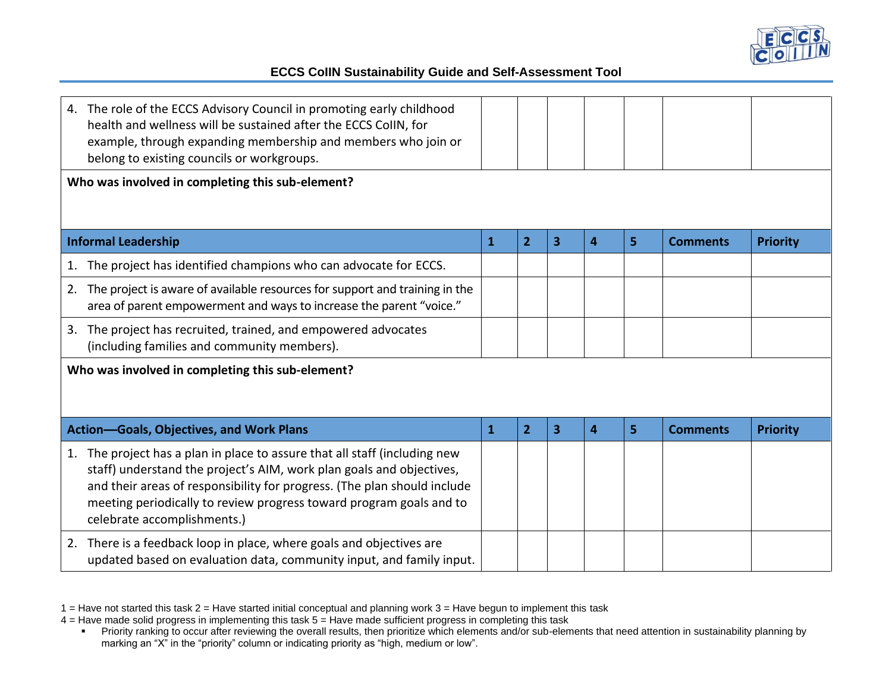

| 4. The role of the ECCS Advisory Council in promoting early childhood<br>health and wellness will be sustained after the ECCS ColIN, for<br>example, through expanding membership and members who join or<br>belong to existing councils or workgroups.                                                                                 |              |                |   |                |   |                 |                 |
|-----------------------------------------------------------------------------------------------------------------------------------------------------------------------------------------------------------------------------------------------------------------------------------------------------------------------------------------|--------------|----------------|---|----------------|---|-----------------|-----------------|
| Who was involved in completing this sub-element?                                                                                                                                                                                                                                                                                        |              |                |   |                |   |                 |                 |
| <b>Informal Leadership</b>                                                                                                                                                                                                                                                                                                              | $\mathbf{1}$ | $\overline{2}$ | 3 | 4              | 5 | <b>Comments</b> | <b>Priority</b> |
| The project has identified champions who can advocate for ECCS.<br>1.                                                                                                                                                                                                                                                                   |              |                |   |                |   |                 |                 |
| The project is aware of available resources for support and training in the<br>2.<br>area of parent empowerment and ways to increase the parent "voice."                                                                                                                                                                                |              |                |   |                |   |                 |                 |
| 3. The project has recruited, trained, and empowered advocates<br>(including families and community members).                                                                                                                                                                                                                           |              |                |   |                |   |                 |                 |
| Who was involved in completing this sub-element?                                                                                                                                                                                                                                                                                        |              |                |   |                |   |                 |                 |
| <b>Action-Goals, Objectives, and Work Plans</b>                                                                                                                                                                                                                                                                                         | $\mathbf{1}$ | $\overline{2}$ | 3 | $\overline{4}$ | 5 | <b>Comments</b> | <b>Priority</b> |
| The project has a plan in place to assure that all staff (including new<br>1.<br>staff) understand the project's AIM, work plan goals and objectives,<br>and their areas of responsibility for progress. (The plan should include<br>meeting periodically to review progress toward program goals and to<br>celebrate accomplishments.) |              |                |   |                |   |                 |                 |
| 2. There is a feedback loop in place, where goals and objectives are<br>updated based on evaluation data, community input, and family input.                                                                                                                                                                                            |              |                |   |                |   |                 |                 |

<sup>1 =</sup> Have not started this task 2 = Have started initial conceptual and planning work 3 = Have begun to implement this task

<sup>4 =</sup> Have made solid progress in implementing this task 5 = Have made sufficient progress in completing this task

<sup>■</sup> Priority ranking to occur after reviewing the overall results, then prioritize which elements and/or sub-elements that need attention in sustainability planning by marking an "X" in the "priority" column or indicating priority as "high, medium or low".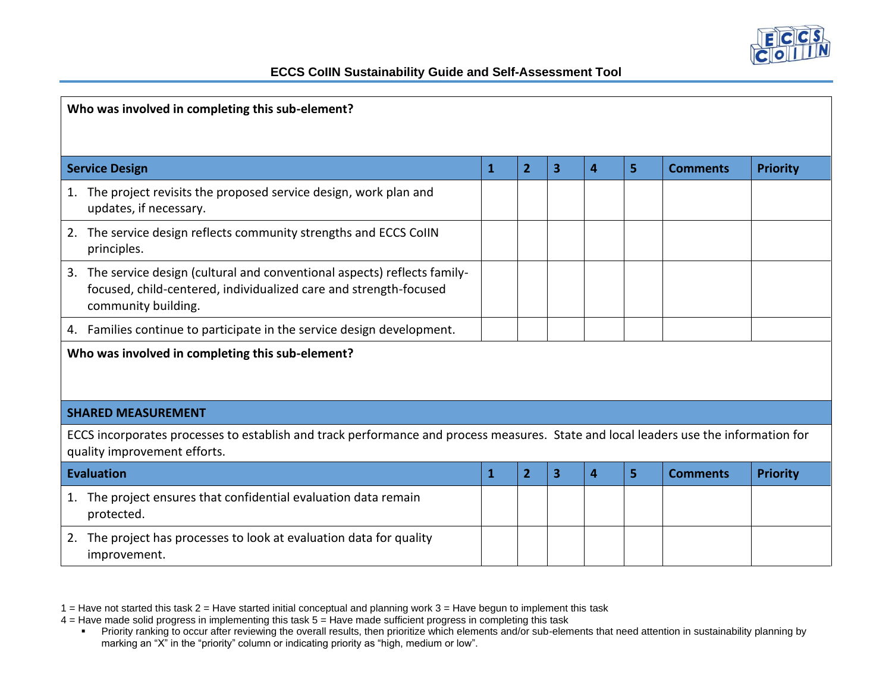

| Who was involved in completing this sub-element?                                                                                                                       |              |                |   |                |   |                 |                 |  |  |  |  |
|------------------------------------------------------------------------------------------------------------------------------------------------------------------------|--------------|----------------|---|----------------|---|-----------------|-----------------|--|--|--|--|
| <b>Service Design</b>                                                                                                                                                  | $\mathbf{1}$ | $\overline{2}$ | 3 | 4              | 5 | <b>Comments</b> | <b>Priority</b> |  |  |  |  |
| The project revisits the proposed service design, work plan and<br>1.<br>updates, if necessary.                                                                        |              |                |   |                |   |                 |                 |  |  |  |  |
| 2. The service design reflects community strengths and ECCS CollN<br>principles.                                                                                       |              |                |   |                |   |                 |                 |  |  |  |  |
| 3. The service design (cultural and conventional aspects) reflects family-<br>focused, child-centered, individualized care and strength-focused<br>community building. |              |                |   |                |   |                 |                 |  |  |  |  |
| 4. Families continue to participate in the service design development.                                                                                                 |              |                |   |                |   |                 |                 |  |  |  |  |
| Who was involved in completing this sub-element?                                                                                                                       |              |                |   |                |   |                 |                 |  |  |  |  |
| <b>SHARED MEASUREMENT</b>                                                                                                                                              |              |                |   |                |   |                 |                 |  |  |  |  |
| ECCS incorporates processes to establish and track performance and process measures. State and local leaders use the information for<br>quality improvement efforts.   |              |                |   |                |   |                 |                 |  |  |  |  |
| <b>Evaluation</b>                                                                                                                                                      | $\mathbf{1}$ | $\overline{2}$ | 3 | $\overline{a}$ | 5 | <b>Comments</b> | <b>Priority</b> |  |  |  |  |
| 1. The project ensures that confidential evaluation data remain<br>protected.                                                                                          |              |                |   |                |   |                 |                 |  |  |  |  |
| 2. The project has processes to look at evaluation data for quality<br>improvement.                                                                                    |              |                |   |                |   |                 |                 |  |  |  |  |

<sup>1 =</sup> Have not started this task 2 = Have started initial conceptual and planning work 3 = Have begun to implement this task

<sup>4 =</sup> Have made solid progress in implementing this task 5 = Have made sufficient progress in completing this task

<sup>■</sup> Priority ranking to occur after reviewing the overall results, then prioritize which elements and/or sub-elements that need attention in sustainability planning by marking an "X" in the "priority" column or indicating priority as "high, medium or low".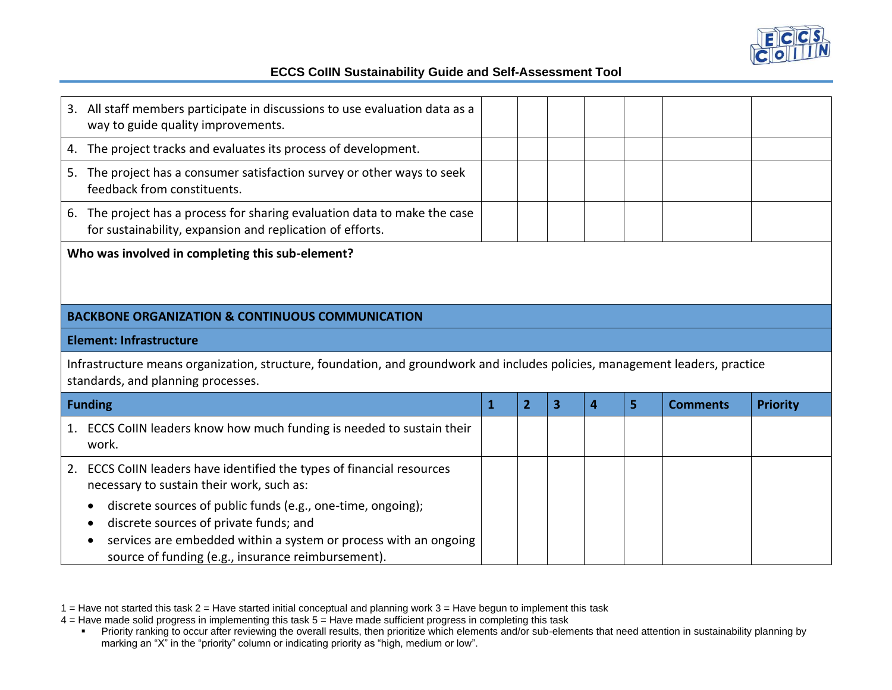

| 3. All staff members participate in discussions to use evaluation data as a<br>way to guide quality improvements.                                                  |              |                |   |                  |   |                 |                 |
|--------------------------------------------------------------------------------------------------------------------------------------------------------------------|--------------|----------------|---|------------------|---|-----------------|-----------------|
| The project tracks and evaluates its process of development.<br>4.                                                                                                 |              |                |   |                  |   |                 |                 |
| 5. The project has a consumer satisfaction survey or other ways to seek<br>feedback from constituents.                                                             |              |                |   |                  |   |                 |                 |
| The project has a process for sharing evaluation data to make the case<br>6.<br>for sustainability, expansion and replication of efforts.                          |              |                |   |                  |   |                 |                 |
| Who was involved in completing this sub-element?                                                                                                                   |              |                |   |                  |   |                 |                 |
| <b>BACKBONE ORGANIZATION &amp; CONTINUOUS COMMUNICATION</b>                                                                                                        |              |                |   |                  |   |                 |                 |
| <b>Element: Infrastructure</b>                                                                                                                                     |              |                |   |                  |   |                 |                 |
| Infrastructure means organization, structure, foundation, and groundwork and includes policies, management leaders, practice<br>standards, and planning processes. |              |                |   |                  |   |                 |                 |
| <b>Funding</b>                                                                                                                                                     | $\mathbf{1}$ | $\overline{2}$ | 3 | $\boldsymbol{A}$ | 5 | <b>Comments</b> | <b>Priority</b> |
| 1. ECCS CollN leaders know how much funding is needed to sustain their<br>work.                                                                                    |              |                |   |                  |   |                 |                 |
| ECCS CollN leaders have identified the types of financial resources<br>2.<br>necessary to sustain their work, such as:                                             |              |                |   |                  |   |                 |                 |
| discrete sources of public funds (e.g., one-time, ongoing);<br>discrete sources of private funds; and                                                              |              |                |   |                  |   |                 |                 |
| services are embedded within a system or process with an ongoing                                                                                                   |              |                |   |                  |   |                 |                 |

1 = Have not started this task 2 = Have started initial conceptual and planning work 3 = Have begun to implement this task

4 = Have made solid progress in implementing this task 5 = Have made sufficient progress in completing this task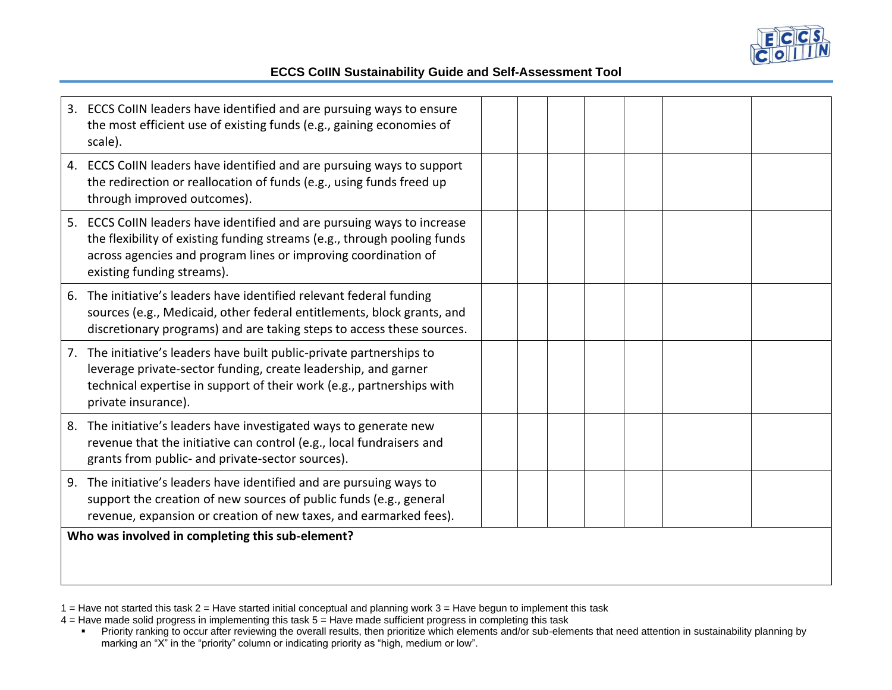

| 3. ECCS CollN leaders have identified and are pursuing ways to ensure<br>the most efficient use of existing funds (e.g., gaining economies of<br>scale).                                                                                            |  |  |
|-----------------------------------------------------------------------------------------------------------------------------------------------------------------------------------------------------------------------------------------------------|--|--|
| 4. ECCS CollN leaders have identified and are pursuing ways to support<br>the redirection or reallocation of funds (e.g., using funds freed up<br>through improved outcomes).                                                                       |  |  |
| 5. ECCS CollN leaders have identified and are pursuing ways to increase<br>the flexibility of existing funding streams (e.g., through pooling funds<br>across agencies and program lines or improving coordination of<br>existing funding streams). |  |  |
| 6. The initiative's leaders have identified relevant federal funding<br>sources (e.g., Medicaid, other federal entitlements, block grants, and<br>discretionary programs) and are taking steps to access these sources.                             |  |  |
| 7. The initiative's leaders have built public-private partnerships to<br>leverage private-sector funding, create leadership, and garner<br>technical expertise in support of their work (e.g., partnerships with<br>private insurance).             |  |  |
| The initiative's leaders have investigated ways to generate new<br>8.<br>revenue that the initiative can control (e.g., local fundraisers and<br>grants from public- and private-sector sources).                                                   |  |  |
| The initiative's leaders have identified and are pursuing ways to<br>9.<br>support the creation of new sources of public funds (e.g., general<br>revenue, expansion or creation of new taxes, and earmarked fees).                                  |  |  |
| Who was involved in completing this sub-element?                                                                                                                                                                                                    |  |  |
|                                                                                                                                                                                                                                                     |  |  |

1 = Have not started this task 2 = Have started initial conceptual and planning work 3 = Have begun to implement this task

4 = Have made solid progress in implementing this task 5 = Have made sufficient progress in completing this task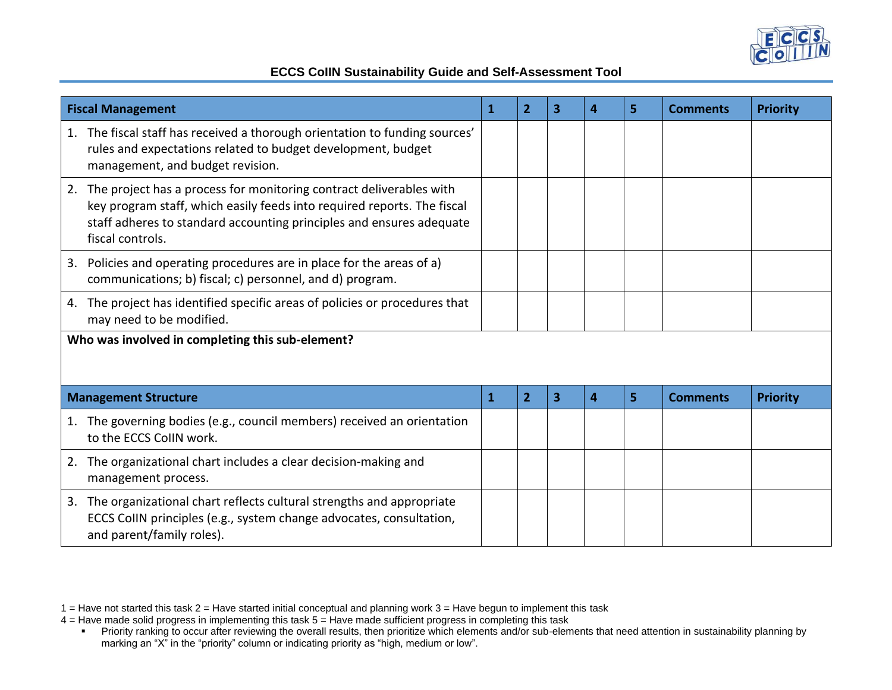

| <b>Fiscal Management</b>                                                                                                                                                                                                                         | 1            | $\overline{2}$ | 3 | 4 | 5 | <b>Comments</b> | <b>Priority</b> |
|--------------------------------------------------------------------------------------------------------------------------------------------------------------------------------------------------------------------------------------------------|--------------|----------------|---|---|---|-----------------|-----------------|
| The fiscal staff has received a thorough orientation to funding sources'<br>1.<br>rules and expectations related to budget development, budget<br>management, and budget revision.                                                               |              |                |   |   |   |                 |                 |
| The project has a process for monitoring contract deliverables with<br>2.<br>key program staff, which easily feeds into required reports. The fiscal<br>staff adheres to standard accounting principles and ensures adequate<br>fiscal controls. |              |                |   |   |   |                 |                 |
| 3. Policies and operating procedures are in place for the areas of a)<br>communications; b) fiscal; c) personnel, and d) program.                                                                                                                |              |                |   |   |   |                 |                 |
| The project has identified specific areas of policies or procedures that<br>4.<br>may need to be modified.                                                                                                                                       |              |                |   |   |   |                 |                 |
| Who was involved in completing this sub-element?                                                                                                                                                                                                 |              |                |   |   |   |                 |                 |
| <b>Management Structure</b>                                                                                                                                                                                                                      | $\mathbf{1}$ | $\overline{2}$ | 3 | 4 | 5 | <b>Comments</b> | <b>Priority</b> |
| The governing bodies (e.g., council members) received an orientation<br>1.<br>to the ECCS CollN work.                                                                                                                                            |              |                |   |   |   |                 |                 |
| The organizational chart includes a clear decision-making and<br>2.<br>management process.                                                                                                                                                       |              |                |   |   |   |                 |                 |
| The organizational chart reflects cultural strengths and appropriate<br>3.<br>ECCS CollN principles (e.g., system change advocates, consultation,<br>and parent/family roles).                                                                   |              |                |   |   |   |                 |                 |

<sup>1 =</sup> Have not started this task 2 = Have started initial conceptual and planning work 3 = Have begun to implement this task

<sup>4 =</sup> Have made solid progress in implementing this task 5 = Have made sufficient progress in completing this task

<sup>■</sup> Priority ranking to occur after reviewing the overall results, then prioritize which elements and/or sub-elements that need attention in sustainability planning by marking an "X" in the "priority" column or indicating priority as "high, medium or low".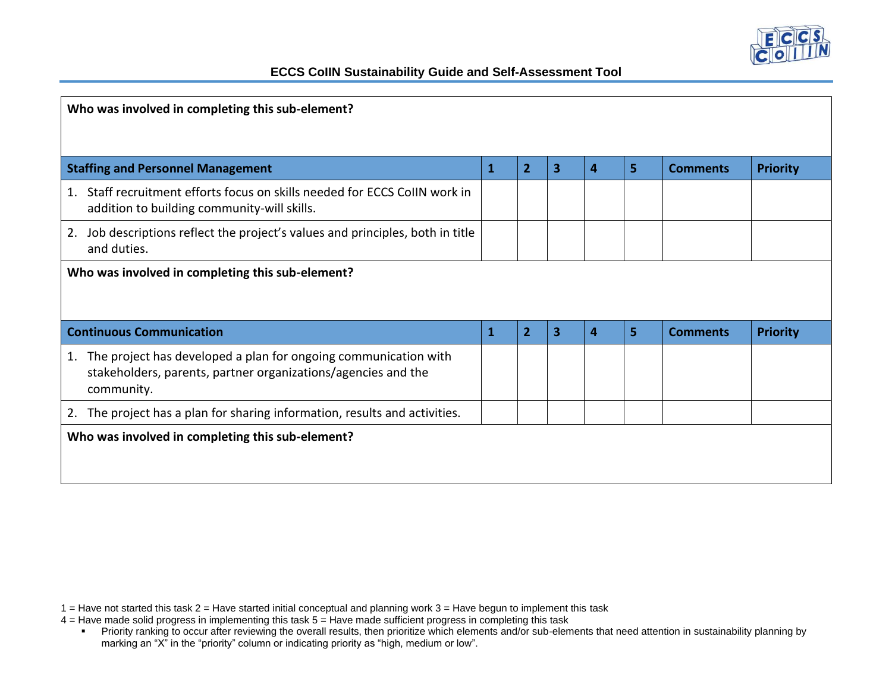

| Who was involved in completing this sub-element?                                                                                                     |              |                |   |   |   |                 |                 |
|------------------------------------------------------------------------------------------------------------------------------------------------------|--------------|----------------|---|---|---|-----------------|-----------------|
|                                                                                                                                                      |              |                |   |   |   |                 |                 |
| <b>Staffing and Personnel Management</b>                                                                                                             | $\mathbf{1}$ | $\overline{2}$ | 3 | 4 | 5 | <b>Comments</b> | <b>Priority</b> |
| Staff recruitment efforts focus on skills needed for ECCS CollN work in<br>1.<br>addition to building community-will skills.                         |              |                |   |   |   |                 |                 |
| Job descriptions reflect the project's values and principles, both in title<br>2.<br>and duties.                                                     |              |                |   |   |   |                 |                 |
| Who was involved in completing this sub-element?                                                                                                     |              |                |   |   |   |                 |                 |
|                                                                                                                                                      |              |                |   |   |   |                 |                 |
| <b>Continuous Communication</b>                                                                                                                      | $\mathbf{1}$ | $\overline{2}$ | 3 | 4 | 5 | <b>Comments</b> | <b>Priority</b> |
| The project has developed a plan for ongoing communication with<br>1.<br>stakeholders, parents, partner organizations/agencies and the<br>community. |              |                |   |   |   |                 |                 |
| The project has a plan for sharing information, results and activities.<br>2.                                                                        |              |                |   |   |   |                 |                 |
| Who was involved in completing this sub-element?                                                                                                     |              |                |   |   |   |                 |                 |
|                                                                                                                                                      |              |                |   |   |   |                 |                 |
|                                                                                                                                                      |              |                |   |   |   |                 |                 |

<sup>1 =</sup> Have not started this task 2 = Have started initial conceptual and planning work 3 = Have begun to implement this task

<sup>4 =</sup> Have made solid progress in implementing this task 5 = Have made sufficient progress in completing this task

<sup>■</sup> Priority ranking to occur after reviewing the overall results, then prioritize which elements and/or sub-elements that need attention in sustainability planning by marking an "X" in the "priority" column or indicating priority as "high, medium or low".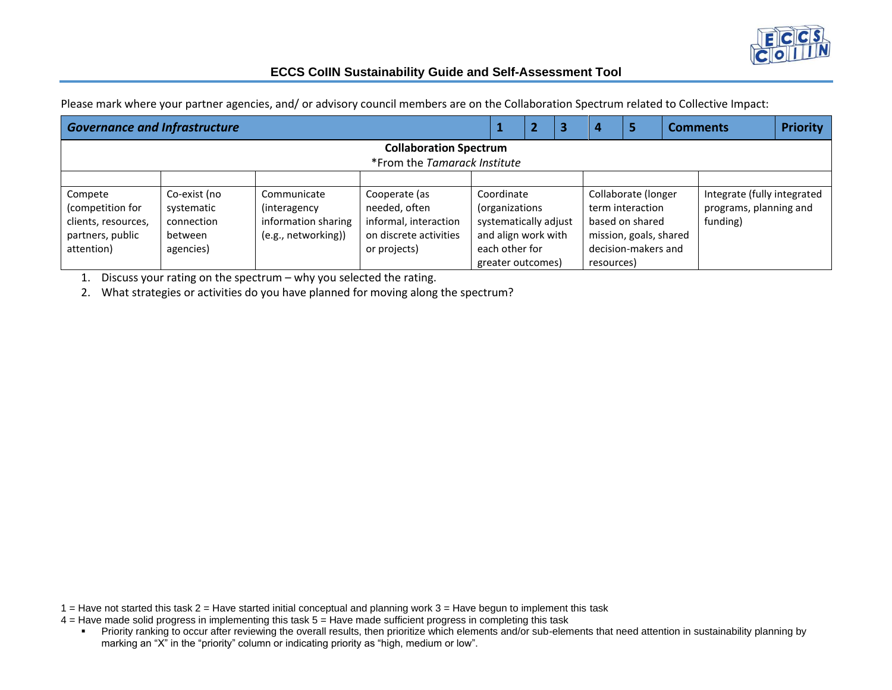

|                               | <b>Governance and Infrastructure</b><br>2<br>з |                     |                              |                       |  |  |                        | 5                   |  | <b>Comments</b>             | <b>Priority</b> |  |
|-------------------------------|------------------------------------------------|---------------------|------------------------------|-----------------------|--|--|------------------------|---------------------|--|-----------------------------|-----------------|--|
| <b>Collaboration Spectrum</b> |                                                |                     |                              |                       |  |  |                        |                     |  |                             |                 |  |
|                               |                                                |                     | *From the Tamarack Institute |                       |  |  |                        |                     |  |                             |                 |  |
|                               |                                                |                     |                              |                       |  |  |                        |                     |  |                             |                 |  |
| Compete                       | Co-exist (no                                   | Communicate         | Cooperate (as                | Coordinate            |  |  | Collaborate (longer    |                     |  | Integrate (fully integrated |                 |  |
| (competition for              | systematic                                     | (interagency)       | needed, often                | (organizations        |  |  | term interaction       |                     |  | programs, planning and      |                 |  |
| clients, resources,           | connection                                     | information sharing | informal, interaction        | systematically adjust |  |  |                        | based on shared     |  | funding)                    |                 |  |
| partners, public              | between                                        | (e.g., networking)) | on discrete activities       | and align work with   |  |  | mission, goals, shared |                     |  |                             |                 |  |
| attention)                    | agencies)                                      |                     | or projects)                 | each other for        |  |  |                        | decision-makers and |  |                             |                 |  |
|                               |                                                |                     |                              | greater outcomes)     |  |  | resources)             |                     |  |                             |                 |  |

Please mark where your partner agencies, and/ or advisory council members are on the Collaboration Spectrum related to Collective Impact:

1. Discuss your rating on the spectrum – why you selected the rating.

2. What strategies or activities do you have planned for moving along the spectrum?

 $1 =$  Have not started this task  $2 =$  Have started initial conceptual and planning work  $3 =$  Have begun to implement this task

4 = Have made solid progress in implementing this task 5 = Have made sufficient progress in completing this task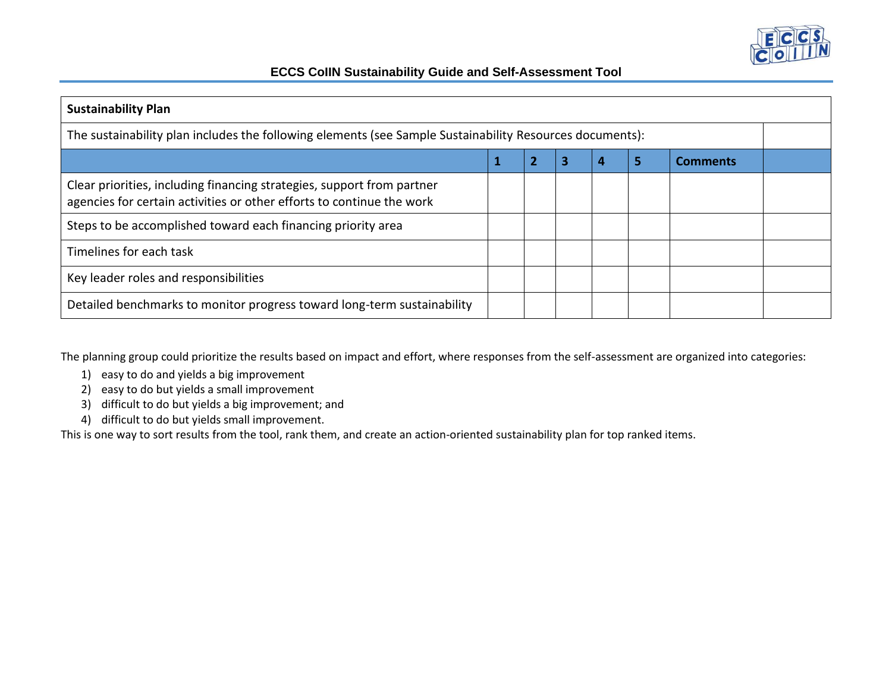

| <b>Sustainability Plan</b>                                                                                                                      |   |  |   |   |   |                 |  |
|-------------------------------------------------------------------------------------------------------------------------------------------------|---|--|---|---|---|-----------------|--|
| The sustainability plan includes the following elements (see Sample Sustainability Resources documents):                                        |   |  |   |   |   |                 |  |
|                                                                                                                                                 | 1 |  | з | 4 | 5 | <b>Comments</b> |  |
| Clear priorities, including financing strategies, support from partner<br>agencies for certain activities or other efforts to continue the work |   |  |   |   |   |                 |  |
| Steps to be accomplished toward each financing priority area                                                                                    |   |  |   |   |   |                 |  |
| Timelines for each task                                                                                                                         |   |  |   |   |   |                 |  |
| Key leader roles and responsibilities                                                                                                           |   |  |   |   |   |                 |  |
| Detailed benchmarks to monitor progress toward long-term sustainability                                                                         |   |  |   |   |   |                 |  |

The planning group could prioritize the results based on impact and effort, where responses from the self-assessment are organized into categories:

- 1) easy to do and yields a big improvement
- 2) easy to do but yields a small improvement
- 3) difficult to do but yields a big improvement; and
- 4) difficult to do but yields small improvement.

This is one way to sort results from the tool, rank them, and create an action-oriented sustainability plan for top ranked items.